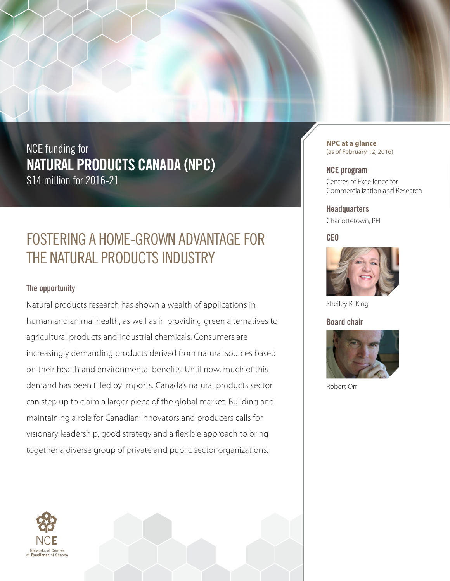NCE funding for **NATURAL PRODUCTS CANADA (NPC)**  \$14 million for 2016-21

## FOSTERING A HOME-GROWN ADVANTAGE FOR THE NATURAL PRODUCTS INDUSTRY

## **The opportunity**

Natural products research has shown a wealth of applications in human and animal health, as well as in providing green alternatives to agricultural products and industrial chemicals. Consumers are increasingly demanding products derived from natural sources based on their health and environmental benefits. Until now, much of this demand has been filled by imports. Canada's natural products sector can step up to claim a larger piece of the global market. Building and maintaining a role for Canadian innovators and producers calls for visionary leadership, good strategy and a flexible approach to bring together a diverse group of private and public sector organizations.



**NPC at a glance** (as of February 12, 2016)

**NCE program**

Centres of Excellence for Commercialization and Research

**Headquarters** Charlottetown, PEI

**CEO** 



Shelley R. King

**Board chair** 



Robert Orr